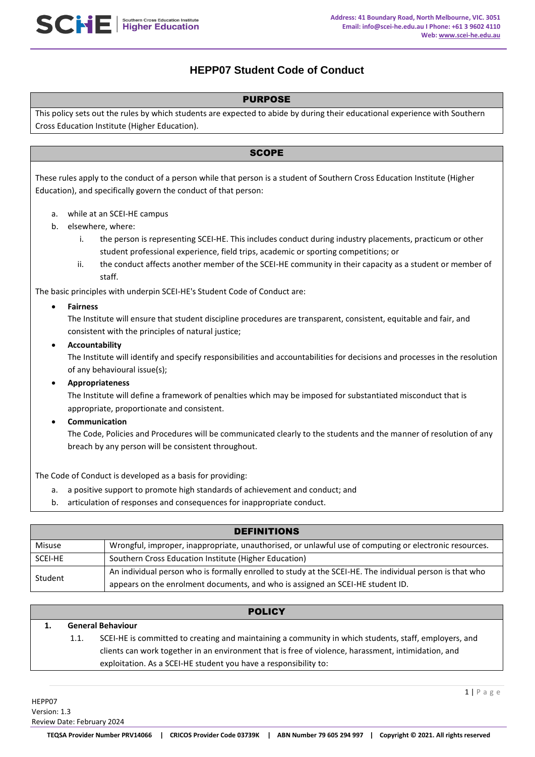# **HEPP07 Student Code of Conduct**

## PURPOSE

This policy sets out the rules by which students are expected to abide by during their educational experience with Southern Cross Education Institute (Higher Education).

## **SCOPE**

These rules apply to the conduct of a person while that person is a student of Southern Cross Education Institute (Higher Education), and specifically govern the conduct of that person:

- a. while at an SCEI-HE campus
- b. elsewhere, where:
	- i. the person is representing SCEI-HE. This includes conduct during industry placements, practicum or other student professional experience, field trips, academic or sporting competitions; or
	- ii. the conduct affects another member of the SCEI-HE community in their capacity as a student or member of staff.

The basic principles with underpin SCEI-HE's Student Code of Conduct are:

## **Fairness**

The Institute will ensure that student discipline procedures are transparent, consistent, equitable and fair, and consistent with the principles of natural justice;

#### **Accountability**

The Institute will identify and specify responsibilities and accountabilities for decisions and processes in the resolution of any behavioural issue(s);

### **Appropriateness**

The Institute will define a framework of penalties which may be imposed for substantiated misconduct that is appropriate, proportionate and consistent.

**Communication**

The Code, Policies and Procedures will be communicated clearly to the students and the manner of resolution of any breach by any person will be consistent throughout.

The Code of Conduct is developed as a basis for providing:

- a. a positive support to promote high standards of achievement and conduct; and
- b. articulation of responses and consequences for inappropriate conduct.

| <b>DEFINITIONS</b> |                                                                                                          |  |  |  |  |
|--------------------|----------------------------------------------------------------------------------------------------------|--|--|--|--|
| Misuse             | Wrongful, improper, inappropriate, unauthorised, or unlawful use of computing or electronic resources.   |  |  |  |  |
| SCEI-HE            | Southern Cross Education Institute (Higher Education)                                                    |  |  |  |  |
| Student            | An individual person who is formally enrolled to study at the SCEI-HE. The individual person is that who |  |  |  |  |
|                    | appears on the enrolment documents, and who is assigned an SCEI-HE student ID.                           |  |  |  |  |

# **POLICY 1. General Behaviour** 1.1. SCEI-HE is committed to creating and maintaining a community in which students, staff, employers, and clients can work together in an environment that is free of violence, harassment, intimidation, and exploitation. As a SCEI-HE student you have a responsibility to: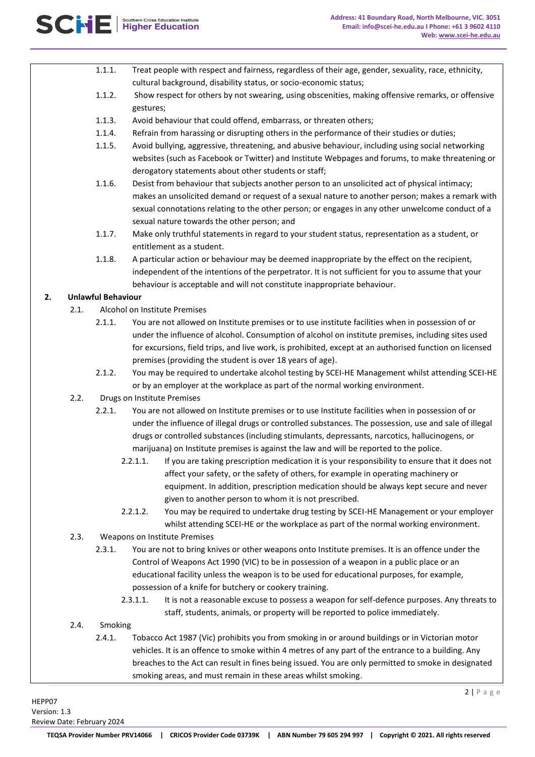- 1.1.1. Treat people with respect and fairness, regardless of their age, gender, sexuality, race, ethnicity, cultural background, disability status, or socio-economic status;
- 1.1.2. Show respect for others by not swearing, using obscenities, making offensive remarks, or offensive gestures;
- 1.1.3. Avoid behaviour that could offend, embarrass, or threaten others;
- 1.1.4. Refrain from harassing or disrupting others in the performance of their studies or duties;
- 1.1.5. Avoid bullying, aggressive, threatening, and abusive behaviour, including using social networking websites (such as Facebook or Twitter) and Institute Webpages and forums, to make threatening or derogatory statements about other students or staff;
- 1.1.6. Desist from behaviour that subjects another person to an unsolicited act of physical intimacy; makes an unsolicited demand or request of a sexual nature to another person; makes a remark with sexual connotations relating to the other person; or engages in any other unwelcome conduct of a sexual nature towards the other person; and
- 1.1.7. Make only truthful statements in regard to your student status, representation as a student, or entitlement as a student.
- 1.1.8. A particular action or behaviour may be deemed inappropriate by the effect on the recipient, independent of the intentions of the perpetrator. It is not sufficient for you to assume that your behaviour is acceptable and will not constitute inappropriate behaviour.

# **2. Unlawful Behaviour**

- 2.1. Alcohol on Institute Premises
	- 2.1.1. You are not allowed on Institute premises or to use institute facilities when in possession of or under the influence of alcohol. Consumption of alcohol on institute premises, including sites used for excursions, field trips, and live work, is prohibited, except at an authorised function on licensed premises (providing the student is over 18 years of age).
	- 2.1.2. You may be required to undertake alcohol testing by SCEI-HE Management whilst attending SCEI-HE or by an employer at the workplace as part of the normal working environment.
- 2.2. Drugs on Institute Premises
	- 2.2.1. You are not allowed on Institute premises or to use Institute facilities when in possession of or under the influence of illegal drugs or controlled substances. The possession, use and sale of illegal drugs or controlled substances (including stimulants, depressants, narcotics, hallucinogens, or marijuana) on Institute premises is against the law and will be reported to the police.
		- 2.2.1.1. If you are taking prescription medication it is your responsibility to ensure that it does not affect your safety, or the safety of others, for example in operating machinery or equipment. In addition, prescription medication should be always kept secure and never given to another person to whom it is not prescribed.
		- 2.2.1.2. You may be required to undertake drug testing by SCEI-HE Management or your employer whilst attending SCEI-HE or the workplace as part of the normal working environment.
- 2.3. Weapons on Institute Premises
	- 2.3.1. You are not to bring knives or other weapons onto Institute premises. It is an offence under the Control of Weapons Act 1990 (VIC) to be in possession of a weapon in a public place or an educational facility unless the weapon is to be used for educational purposes, for example, possession of a knife for butchery or cookery training.
		- 2.3.1.1. It is not a reasonable excuse to possess a weapon for self-defence purposes. Any threats to staff, students, animals, or property will be reported to police immediately.
- 2.4. Smoking
	- 2.4.1. Tobacco Act 1987 (Vic) prohibits you from smoking in or around buildings or in Victorian motor vehicles. It is an offence to smoke within 4 metres of any part of the entrance to a building. Any breaches to the Act can result in fines being issued. You are only permitted to smoke in designated smoking areas, and must remain in these areas whilst smoking.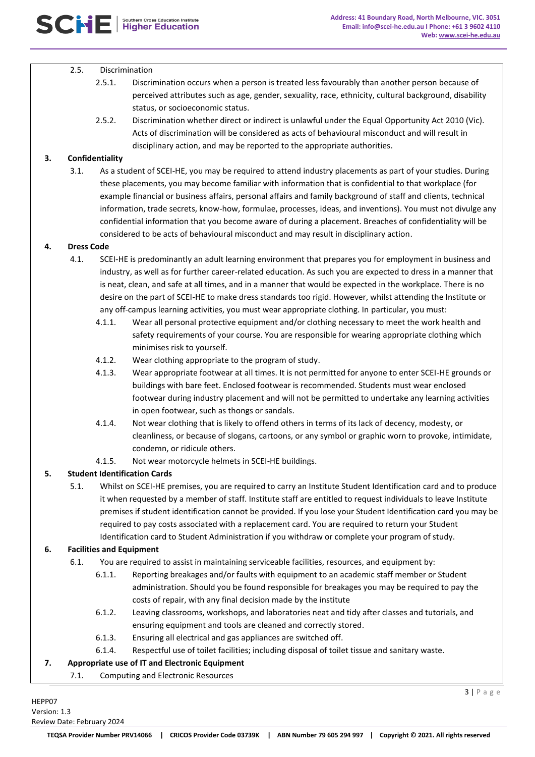#### 2.5. Discrimination

- 2.5.1. Discrimination occurs when a person is treated less favourably than another person because of perceived attributes such as age, gender, sexuality, race, ethnicity, cultural background, disability status, or socioeconomic status.
- 2.5.2. Discrimination whether direct or indirect is unlawful under the Equal Opportunity Act 2010 (Vic). Acts of discrimination will be considered as acts of behavioural misconduct and will result in disciplinary action, and may be reported to the appropriate authorities.

### **3. Confidentiality**

3.1. As a student of SCEI-HE, you may be required to attend industry placements as part of your studies. During these placements, you may become familiar with information that is confidential to that workplace (for example financial or business affairs, personal affairs and family background of staff and clients, technical information, trade secrets, know-how, formulae, processes, ideas, and inventions). You must not divulge any confidential information that you become aware of during a placement. Breaches of confidentiality will be considered to be acts of behavioural misconduct and may result in disciplinary action.

#### **4. Dress Code**

- 4.1. SCEI-HE is predominantly an adult learning environment that prepares you for employment in business and industry, as well as for further career-related education. As such you are expected to dress in a manner that is neat, clean, and safe at all times, and in a manner that would be expected in the workplace. There is no desire on the part of SCEI-HE to make dress standards too rigid. However, whilst attending the Institute or any off-campus learning activities, you must wear appropriate clothing. In particular, you must:
	- 4.1.1. Wear all personal protective equipment and/or clothing necessary to meet the work health and safety requirements of your course. You are responsible for wearing appropriate clothing which minimises risk to yourself.
	- 4.1.2. Wear clothing appropriate to the program of study.
	- 4.1.3. Wear appropriate footwear at all times. It is not permitted for anyone to enter SCEI-HE grounds or buildings with bare feet. Enclosed footwear is recommended. Students must wear enclosed footwear during industry placement and will not be permitted to undertake any learning activities in open footwear, such as thongs or sandals.
	- 4.1.4. Not wear clothing that is likely to offend others in terms of its lack of decency, modesty, or cleanliness, or because of slogans, cartoons, or any symbol or graphic worn to provoke, intimidate, condemn, or ridicule others.
	- 4.1.5. Not wear motorcycle helmets in SCEI-HE buildings.

## **5. Student Identification Cards**

5.1. Whilst on SCEI-HE premises, you are required to carry an Institute Student Identification card and to produce it when requested by a member of staff. Institute staff are entitled to request individuals to leave Institute premises if student identification cannot be provided. If you lose your Student Identification card you may be required to pay costs associated with a replacement card. You are required to return your Student Identification card to Student Administration if you withdraw or complete your program of study.

## **6. Facilities and Equipment**

- 6.1. You are required to assist in maintaining serviceable facilities, resources, and equipment by:
	- 6.1.1. Reporting breakages and/or faults with equipment to an academic staff member or Student administration. Should you be found responsible for breakages you may be required to pay the costs of repair, with any final decision made by the institute
	- 6.1.2. Leaving classrooms, workshops, and laboratories neat and tidy after classes and tutorials, and ensuring equipment and tools are cleaned and correctly stored.
	- 6.1.3. Ensuring all electrical and gas appliances are switched off.
	- 6.1.4. Respectful use of toilet facilities; including disposal of toilet tissue and sanitary waste.

## **7. Appropriate use of IT and Electronic Equipment**

7.1. Computing and Electronic Resources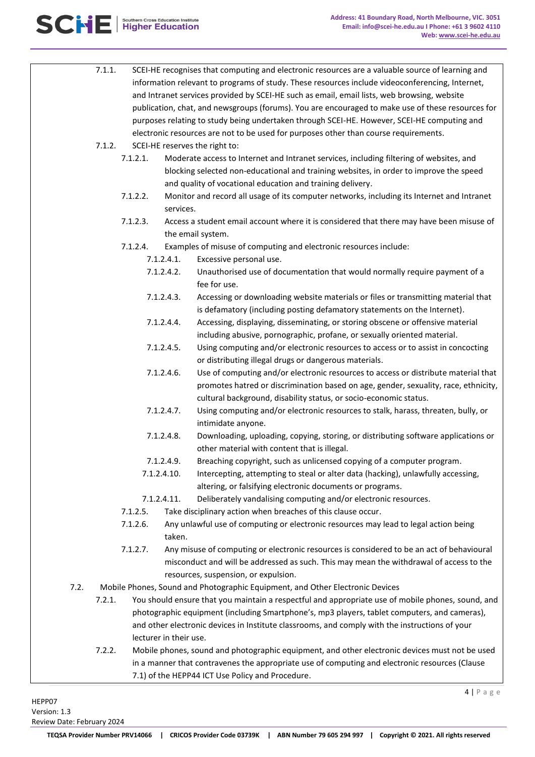

|      | 7.1.1.                                                                                                                                    |                                                                               |             | SCEI-HE recognises that computing and electronic resources are a valuable source of learning and<br>information relevant to programs of study. These resources include videoconferencing, Internet,<br>and Intranet services provided by SCEI-HE such as email, email lists, web browsing, website<br>publication, chat, and newsgroups (forums). You are encouraged to make use of these resources for<br>purposes relating to study being undertaken through SCEI-HE. However, SCEI-HE computing and<br>electronic resources are not to be used for purposes other than course requirements. |  |
|------|-------------------------------------------------------------------------------------------------------------------------------------------|-------------------------------------------------------------------------------|-------------|------------------------------------------------------------------------------------------------------------------------------------------------------------------------------------------------------------------------------------------------------------------------------------------------------------------------------------------------------------------------------------------------------------------------------------------------------------------------------------------------------------------------------------------------------------------------------------------------|--|
|      | 7.1.2.                                                                                                                                    |                                                                               |             | SCEI-HE reserves the right to:                                                                                                                                                                                                                                                                                                                                                                                                                                                                                                                                                                 |  |
|      |                                                                                                                                           | 7.1.2.1.                                                                      |             | Moderate access to Internet and Intranet services, including filtering of websites, and<br>blocking selected non-educational and training websites, in order to improve the speed<br>and quality of vocational education and training delivery.                                                                                                                                                                                                                                                                                                                                                |  |
|      |                                                                                                                                           | 7.1.2.2.                                                                      | services.   | Monitor and record all usage of its computer networks, including its Internet and Intranet                                                                                                                                                                                                                                                                                                                                                                                                                                                                                                     |  |
|      |                                                                                                                                           | 7.1.2.3.                                                                      |             | Access a student email account where it is considered that there may have been misuse of<br>the email system.                                                                                                                                                                                                                                                                                                                                                                                                                                                                                  |  |
|      |                                                                                                                                           | 7.1.2.4.                                                                      |             | Examples of misuse of computing and electronic resources include:                                                                                                                                                                                                                                                                                                                                                                                                                                                                                                                              |  |
|      | 7.1.2.4.1.<br>7.1.2.4.2.<br>7.1.2.4.3.<br>7.1.2.4.4.<br>7.1.2.4.5.<br>7.1.2.4.6.<br>7.1.2.4.7.<br>7.1.2.4.8.<br>7.1.2.4.9.<br>7.1.2.4.10. |                                                                               |             | Excessive personal use.                                                                                                                                                                                                                                                                                                                                                                                                                                                                                                                                                                        |  |
|      |                                                                                                                                           |                                                                               |             | Unauthorised use of documentation that would normally require payment of a<br>fee for use.                                                                                                                                                                                                                                                                                                                                                                                                                                                                                                     |  |
|      |                                                                                                                                           |                                                                               |             | Accessing or downloading website materials or files or transmitting material that<br>is defamatory (including posting defamatory statements on the Internet).                                                                                                                                                                                                                                                                                                                                                                                                                                  |  |
|      |                                                                                                                                           |                                                                               |             | Accessing, displaying, disseminating, or storing obscene or offensive material<br>including abusive, pornographic, profane, or sexually oriented material.                                                                                                                                                                                                                                                                                                                                                                                                                                     |  |
|      |                                                                                                                                           |                                                                               |             | Using computing and/or electronic resources to access or to assist in concocting<br>or distributing illegal drugs or dangerous materials.                                                                                                                                                                                                                                                                                                                                                                                                                                                      |  |
|      |                                                                                                                                           |                                                                               |             | Use of computing and/or electronic resources to access or distribute material that<br>promotes hatred or discrimination based on age, gender, sexuality, race, ethnicity,<br>cultural background, disability status, or socio-economic status.                                                                                                                                                                                                                                                                                                                                                 |  |
|      |                                                                                                                                           |                                                                               |             | Using computing and/or electronic resources to stalk, harass, threaten, bully, or<br>intimidate anyone.                                                                                                                                                                                                                                                                                                                                                                                                                                                                                        |  |
|      |                                                                                                                                           |                                                                               |             | Downloading, uploading, copying, storing, or distributing software applications or<br>other material with content that is illegal.                                                                                                                                                                                                                                                                                                                                                                                                                                                             |  |
|      |                                                                                                                                           |                                                                               |             | Breaching copyright, such as unlicensed copying of a computer program.                                                                                                                                                                                                                                                                                                                                                                                                                                                                                                                         |  |
|      |                                                                                                                                           |                                                                               |             | Intercepting, attempting to steal or alter data (hacking), unlawfully accessing,<br>altering, or falsifying electronic documents or programs.                                                                                                                                                                                                                                                                                                                                                                                                                                                  |  |
|      |                                                                                                                                           |                                                                               | 7.1.2.4.11. | Deliberately vandalising computing and/or electronic resources.                                                                                                                                                                                                                                                                                                                                                                                                                                                                                                                                |  |
|      |                                                                                                                                           | 7.1.2.5.                                                                      |             | Take disciplinary action when breaches of this clause occur.                                                                                                                                                                                                                                                                                                                                                                                                                                                                                                                                   |  |
|      |                                                                                                                                           | 7.1.2.6.                                                                      | taken.      | Any unlawful use of computing or electronic resources may lead to legal action being                                                                                                                                                                                                                                                                                                                                                                                                                                                                                                           |  |
|      |                                                                                                                                           | 7.1.2.7.                                                                      |             | Any misuse of computing or electronic resources is considered to be an act of behavioural<br>misconduct and will be addressed as such. This may mean the withdrawal of access to the<br>resources, suspension, or expulsion.                                                                                                                                                                                                                                                                                                                                                                   |  |
| 7.2. |                                                                                                                                           | Mobile Phones, Sound and Photographic Equipment, and Other Electronic Devices |             |                                                                                                                                                                                                                                                                                                                                                                                                                                                                                                                                                                                                |  |
|      | 7.2.1.                                                                                                                                    |                                                                               |             | You should ensure that you maintain a respectful and appropriate use of mobile phones, sound, and                                                                                                                                                                                                                                                                                                                                                                                                                                                                                              |  |
|      |                                                                                                                                           |                                                                               |             | photographic equipment (including Smartphone's, mp3 players, tablet computers, and cameras),                                                                                                                                                                                                                                                                                                                                                                                                                                                                                                   |  |
|      | lecturer in their use.                                                                                                                    |                                                                               |             | and other electronic devices in Institute classrooms, and comply with the instructions of your                                                                                                                                                                                                                                                                                                                                                                                                                                                                                                 |  |
|      | 7.2.2.                                                                                                                                    |                                                                               |             | Mobile phones, sound and photographic equipment, and other electronic devices must not be used                                                                                                                                                                                                                                                                                                                                                                                                                                                                                                 |  |

in a manner that contravenes the appropriate use of computing and electronic resources (Clause 7.1) of the HEPP44 ICT Use Policy and Procedure.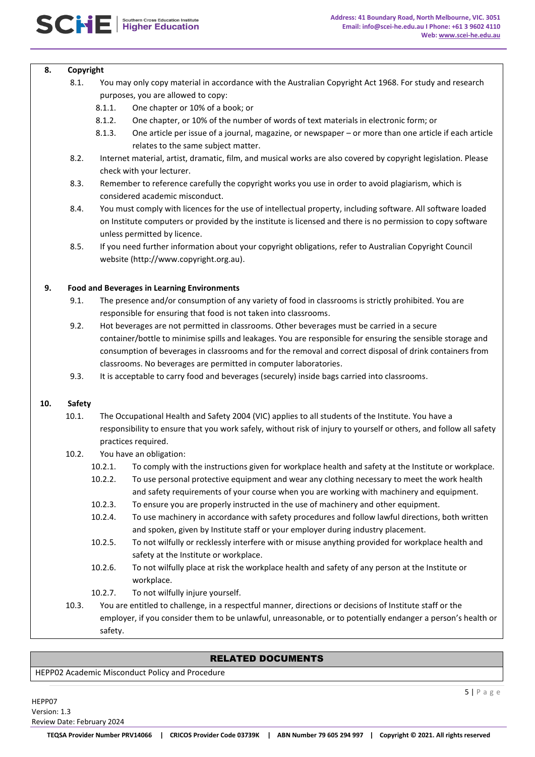#### **8. Copyright**

- 8.1. You may only copy material in accordance with the Australian Copyright Act 1968. For study and research purposes, you are allowed to copy:
	- 8.1.1. One chapter or 10% of a book; or
	- 8.1.2. One chapter, or 10% of the number of words of text materials in electronic form; or
	- 8.1.3. One article per issue of a journal, magazine, or newspaper or more than one article if each article relates to the same subject matter.
- 8.2. Internet material, artist, dramatic, film, and musical works are also covered by copyright legislation. Please check with your lecturer.
- 8.3. Remember to reference carefully the copyright works you use in order to avoid plagiarism, which is considered academic misconduct.
- 8.4. You must comply with licences for the use of intellectual property, including software. All software loaded on Institute computers or provided by the institute is licensed and there is no permission to copy software unless permitted by licence.
- 8.5. If you need further information about your copyright obligations, refer to Australian Copyright Council website (http://www.copyright.org.au).

#### **9. Food and Beverages in Learning Environments**

- 9.1. The presence and/or consumption of any variety of food in classrooms is strictly prohibited. You are responsible for ensuring that food is not taken into classrooms.
- 9.2. Hot beverages are not permitted in classrooms. Other beverages must be carried in a secure container/bottle to minimise spills and leakages. You are responsible for ensuring the sensible storage and consumption of beverages in classrooms and for the removal and correct disposal of drink containers from classrooms. No beverages are permitted in computer laboratories.
- 9.3. It is acceptable to carry food and beverages (securely) inside bags carried into classrooms.

#### **10. Safety**

10.1. The Occupational Health and Safety 2004 (VIC) applies to all students of the Institute. You have a responsibility to ensure that you work safely, without risk of injury to yourself or others, and follow all safety practices required.

## 10.2. You have an obligation:

- 10.2.1. To comply with the instructions given for workplace health and safety at the Institute or workplace.
- 10.2.2. To use personal protective equipment and wear any clothing necessary to meet the work health and safety requirements of your course when you are working with machinery and equipment.
- 10.2.3. To ensure you are properly instructed in the use of machinery and other equipment.
- 10.2.4. To use machinery in accordance with safety procedures and follow lawful directions, both written and spoken, given by Institute staff or your employer during industry placement.
- 10.2.5. To not wilfully or recklessly interfere with or misuse anything provided for workplace health and safety at the Institute or workplace.
- 10.2.6. To not wilfully place at risk the workplace health and safety of any person at the Institute or workplace.
- 10.2.7. To not wilfully injure yourself.
- 10.3. You are entitled to challenge, in a respectful manner, directions or decisions of Institute staff or the employer, if you consider them to be unlawful, unreasonable, or to potentially endanger a person's health or safety.

## RELATED DOCUMENTS

HEPP02 Academic Misconduct Policy and Procedure